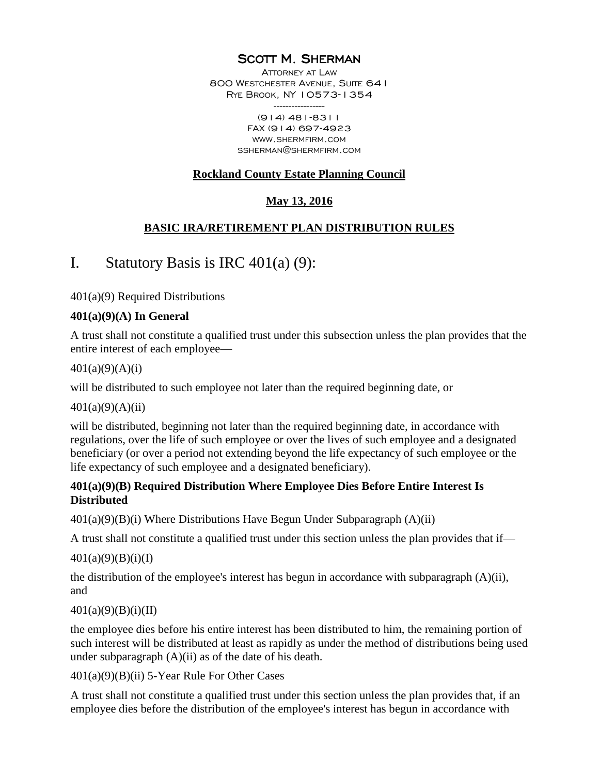### SCOTT M. SHERMAN

ATTORNEY AT LAW 800 WESTCHESTER AVENUE, SUITE 64 I RYE BROOK, NY 10573-1354 -----------------

(914) 481-8311 FAX (914) 697-4923 WWW.SHERMFIRM.COM SSHERMAN@SHERMFIRM.COM

#### **Rockland County Estate Planning Council**

### **May 13, 2016**

#### **BASIC IRA/RETIREMENT PLAN DISTRIBUTION RULES**

# I. Statutory Basis is IRC  $401(a)(9)$ :

401(a)(9) Required Distributions

#### **401(a)(9)(A) In General**

A trust shall not constitute a qualified trust under this subsection unless the plan provides that the entire interest of each employee—

 $401(a)(9)(A)(i)$ 

will be distributed to such employee not later than the required beginning date, or

 $401(a)(9)(A)(ii)$ 

will be distributed, beginning not later than the required beginning date, in accordance with regulations, over the life of such employee or over the lives of such employee and a designated beneficiary (or over a period not extending beyond the life expectancy of such employee or the life expectancy of such employee and a designated beneficiary).

#### **401(a)(9)(B) Required Distribution Where Employee Dies Before Entire Interest Is Distributed**

 $401(a)(9)(B)(i)$  Where Distributions Have Begun Under Subparagraph  $(A)(ii)$ 

A trust shall not constitute a qualified trust under this section unless the plan provides that if—

 $401(a)(9)(B)(i)(I)$ 

the distribution of the employee's interest has begun in accordance with subparagraph  $(A)(ii)$ , and

#### $401(a)(9)(B)(i)(II)$

the employee dies before his entire interest has been distributed to him, the remaining portion of such interest will be distributed at least as rapidly as under the method of distributions being used under subparagraph  $(A)(ii)$  as of the date of his death.

401(a)(9)(B)(ii) 5-Year Rule For Other Cases

A trust shall not constitute a qualified trust under this section unless the plan provides that, if an employee dies before the distribution of the employee's interest has begun in accordance with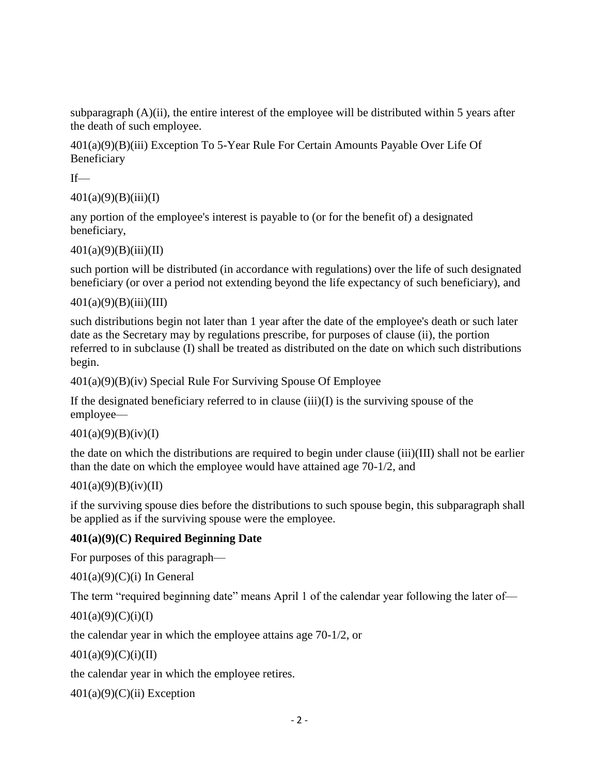subparagraph  $(A)(ii)$ , the entire interest of the employee will be distributed within 5 years after the death of such employee.

401(a)(9)(B)(iii) Exception To 5-Year Rule For Certain Amounts Payable Over Life Of Beneficiary

 $If$ —

 $401(a)(9)(B)(iii)(I)$ 

any portion of the employee's interest is payable to (or for the benefit of) a designated beneficiary,

```
401(a)(9)(B)(iii)(II)
```
such portion will be distributed (in accordance with regulations) over the life of such designated beneficiary (or over a period not extending beyond the life expectancy of such beneficiary), and

```
401(a)(9)(B)(iii)(III)
```
such distributions begin not later than 1 year after the date of the employee's death or such later date as the Secretary may by regulations prescribe, for purposes of clause (ii), the portion referred to in subclause (I) shall be treated as distributed on the date on which such distributions begin.

```
401(a)(9)(B)(iv) Special Rule For Surviving Spouse Of Employee
```
If the designated beneficiary referred to in clause (iii)(I) is the surviving spouse of the employee—

 $401(a)(9)(B)(iv)(I)$ 

the date on which the distributions are required to begin under clause (iii)(III) shall not be earlier than the date on which the employee would have attained age 70-1/2, and

#### 401(a)(9)(B)(iv)(II)

if the surviving spouse dies before the distributions to such spouse begin, this subparagraph shall be applied as if the surviving spouse were the employee.

#### **401(a)(9)(C) Required Beginning Date**

For purposes of this paragraph—

 $401(a)(9)(C)(i)$  In General

The term "required beginning date" means April 1 of the calendar year following the later of—

```
401(a)(9)(C)(i)(I)
```
the calendar year in which the employee attains age 70-1/2, or

```
401(a)(9)(C)(i)(II)
```
the calendar year in which the employee retires.

 $401(a)(9)(C)(ii)$  Exception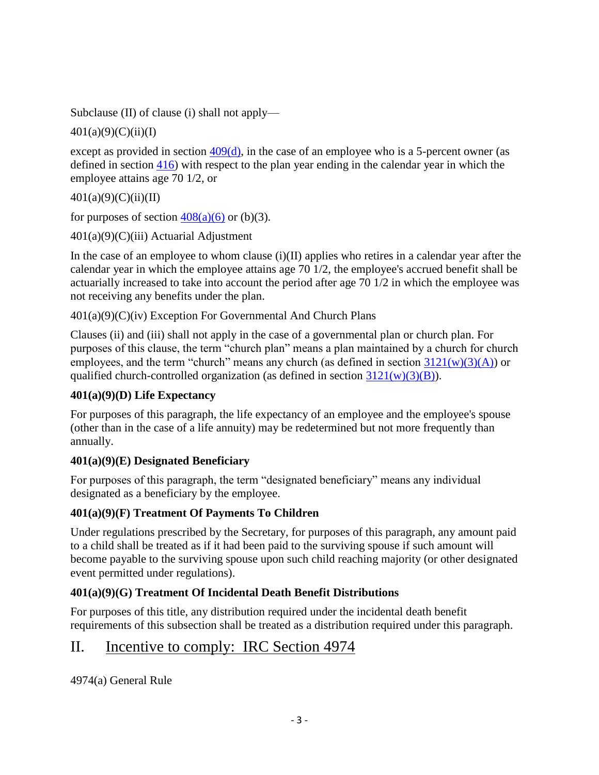Subclause (II) of clause (i) shall not apply—

 $401(a)(9)(C)(ii)(I)$ 

except as provided in section  $409(d)$ , in the case of an employee who is a 5-percent owner (as defined in section [416\)](http://taxandaccounting.bna.com/btac/display/link_res.adp?fedfid=4392135&fname=usc_26_416&vname=tm26usc) with respect to the plan year ending in the calendar year in which the employee attains age 70 1/2, or

 $401(a)(9)(C)(ii)(II)$ 

for purposes of section  $408(a)(6)$  or (b)(3).

 $401(a)(9)(C)(iii)$  Actuarial Adjustment

In the case of an employee to whom clause (i)(II) applies who retires in a calendar year after the calendar year in which the employee attains age 70 1/2, the employee's accrued benefit shall be actuarially increased to take into account the period after age 70 1/2 in which the employee was not receiving any benefits under the plan.

401(a)(9)(C)(iv) Exception For Governmental And Church Plans

Clauses (ii) and (iii) shall not apply in the case of a governmental plan or church plan. For purposes of this clause, the term "church plan" means a plan maintained by a church for church employees, and the term "church" means any church (as defined in section  $3121(w)(3)(A)$ ) or qualified church-controlled organization (as defined in section  $3121(w)(3)(B)$ ).

# **401(a)(9)(D) Life Expectancy**

For purposes of this paragraph, the life expectancy of an employee and the employee's spouse (other than in the case of a life annuity) may be redetermined but not more frequently than annually.

# **401(a)(9)(E) Designated Beneficiary**

For purposes of this paragraph, the term "designated beneficiary" means any individual designated as a beneficiary by the employee.

# **401(a)(9)(F) Treatment Of Payments To Children**

Under regulations prescribed by the Secretary, for purposes of this paragraph, any amount paid to a child shall be treated as if it had been paid to the surviving spouse if such amount will become payable to the surviving spouse upon such child reaching majority (or other designated event permitted under regulations).

# **401(a)(9)(G) Treatment Of Incidental Death Benefit Distributions**

For purposes of this title, any distribution required under the incidental death benefit requirements of this subsection shall be treated as a distribution required under this paragraph.

# II. Incentive to comply: IRC Section 4974

4974(a) General Rule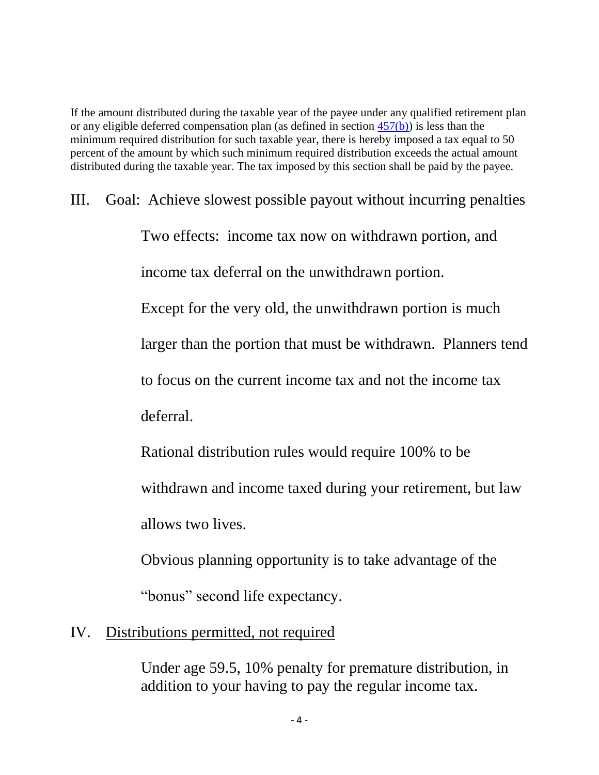If the amount distributed during the taxable year of the payee under any qualified retirement plan or any eligible deferred compensation plan (as defined in section  $457(b)$ ) is less than the minimum required distribution for such taxable year, there is hereby imposed a tax equal to 50 percent of the amount by which such minimum required distribution exceeds the actual amount distributed during the taxable year. The tax imposed by this section shall be paid by the payee.

III. Goal: Achieve slowest possible payout without incurring penalties Two effects: income tax now on withdrawn portion, and income tax deferral on the unwithdrawn portion. Except for the very old, the unwithdrawn portion is much larger than the portion that must be withdrawn. Planners tend to focus on the current income tax and not the income tax deferral. Rational distribution rules would require 100% to be

> withdrawn and income taxed during your retirement, but law allows two lives.

Obvious planning opportunity is to take advantage of the

"bonus" second life expectancy.

# IV. Distributions permitted, not required

Under age 59.5, 10% penalty for premature distribution, in addition to your having to pay the regular income tax.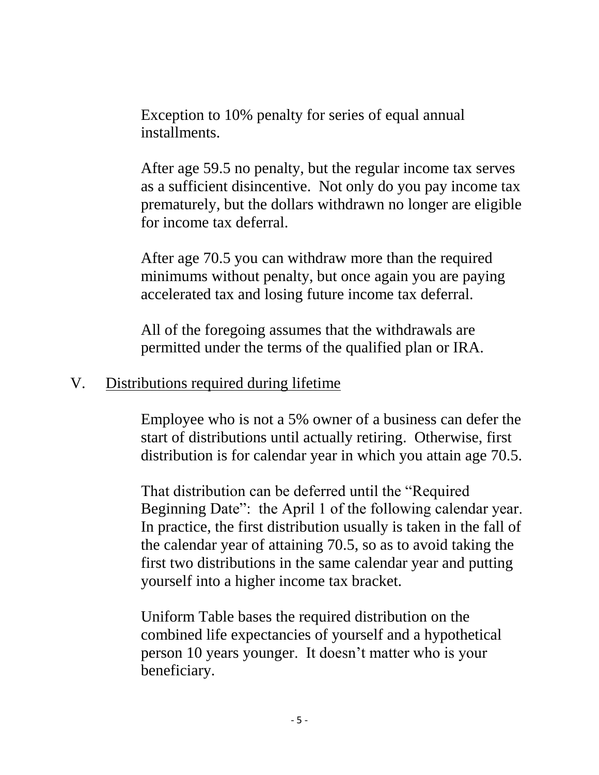Exception to 10% penalty for series of equal annual installments.

After age 59.5 no penalty, but the regular income tax serves as a sufficient disincentive. Not only do you pay income tax prematurely, but the dollars withdrawn no longer are eligible for income tax deferral.

After age 70.5 you can withdraw more than the required minimums without penalty, but once again you are paying accelerated tax and losing future income tax deferral.

All of the foregoing assumes that the withdrawals are permitted under the terms of the qualified plan or IRA.

# V. Distributions required during lifetime

Employee who is not a 5% owner of a business can defer the start of distributions until actually retiring. Otherwise, first distribution is for calendar year in which you attain age 70.5.

That distribution can be deferred until the "Required Beginning Date": the April 1 of the following calendar year. In practice, the first distribution usually is taken in the fall of the calendar year of attaining 70.5, so as to avoid taking the first two distributions in the same calendar year and putting yourself into a higher income tax bracket.

Uniform Table bases the required distribution on the combined life expectancies of yourself and a hypothetical person 10 years younger. It doesn't matter who is your beneficiary.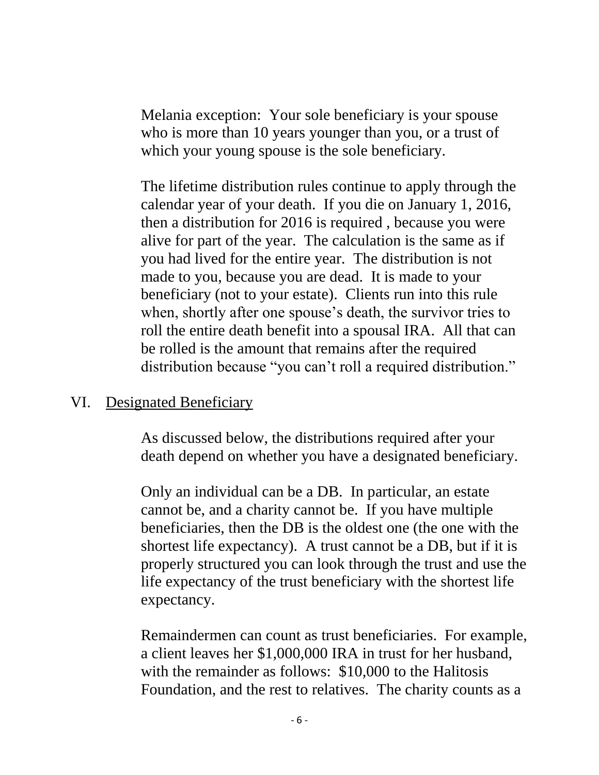Melania exception: Your sole beneficiary is your spouse who is more than 10 years younger than you, or a trust of which your young spouse is the sole beneficiary.

The lifetime distribution rules continue to apply through the calendar year of your death. If you die on January 1, 2016, then a distribution for 2016 is required , because you were alive for part of the year. The calculation is the same as if you had lived for the entire year. The distribution is not made to you, because you are dead. It is made to your beneficiary (not to your estate). Clients run into this rule when, shortly after one spouse's death, the survivor tries to roll the entire death benefit into a spousal IRA. All that can be rolled is the amount that remains after the required distribution because "you can't roll a required distribution."

# VI. Designated Beneficiary

As discussed below, the distributions required after your death depend on whether you have a designated beneficiary.

Only an individual can be a DB. In particular, an estate cannot be, and a charity cannot be. If you have multiple beneficiaries, then the DB is the oldest one (the one with the shortest life expectancy). A trust cannot be a DB, but if it is properly structured you can look through the trust and use the life expectancy of the trust beneficiary with the shortest life expectancy.

Remaindermen can count as trust beneficiaries. For example, a client leaves her \$1,000,000 IRA in trust for her husband, with the remainder as follows: \$10,000 to the Halitosis Foundation, and the rest to relatives. The charity counts as a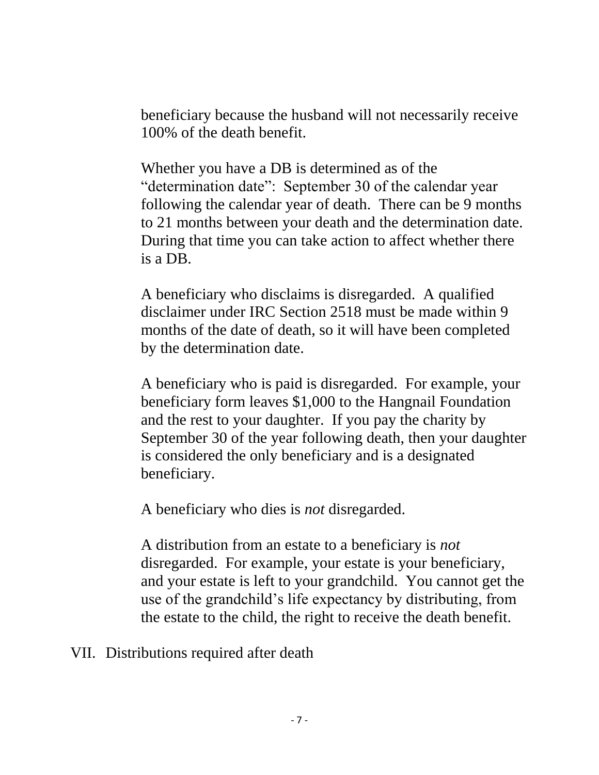beneficiary because the husband will not necessarily receive 100% of the death benefit.

Whether you have a DB is determined as of the "determination date": September 30 of the calendar year following the calendar year of death. There can be 9 months to 21 months between your death and the determination date. During that time you can take action to affect whether there is a DB.

A beneficiary who disclaims is disregarded. A qualified disclaimer under IRC Section 2518 must be made within 9 months of the date of death, so it will have been completed by the determination date.

A beneficiary who is paid is disregarded. For example, your beneficiary form leaves \$1,000 to the Hangnail Foundation and the rest to your daughter. If you pay the charity by September 30 of the year following death, then your daughter is considered the only beneficiary and is a designated beneficiary.

A beneficiary who dies is *not* disregarded.

A distribution from an estate to a beneficiary is *not* disregarded. For example, your estate is your beneficiary, and your estate is left to your grandchild. You cannot get the use of the grandchild's life expectancy by distributing, from the estate to the child, the right to receive the death benefit.

VII. Distributions required after death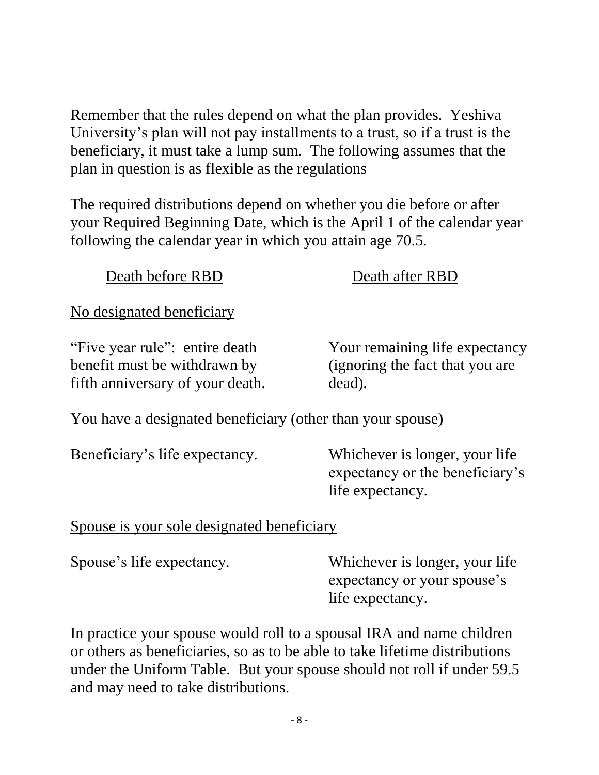Remember that the rules depend on what the plan provides. Yeshiva University's plan will not pay installments to a trust, so if a trust is the beneficiary, it must take a lump sum. The following assumes that the plan in question is as flexible as the regulations

The required distributions depend on whether you die before or after your Required Beginning Date, which is the April 1 of the calendar year following the calendar year in which you attain age 70.5.

Death before RBD Death after RBD No designated beneficiary "Five year rule": entire death Your remaining life expectancy benefit must be withdrawn by (ignoring the fact that you are fifth anniversary of your death. dead). You have a designated beneficiary (other than your spouse) Beneficiary's life expectancy. Whichever is longer, your life expectancy or the beneficiary's life expectancy. Spouse is your sole designated beneficiary Spouse's life expectancy. Whichever is longer, your life expectancy or your spouse's life expectancy.

In practice your spouse would roll to a spousal IRA and name children or others as beneficiaries, so as to be able to take lifetime distributions under the Uniform Table. But your spouse should not roll if under 59.5 and may need to take distributions.